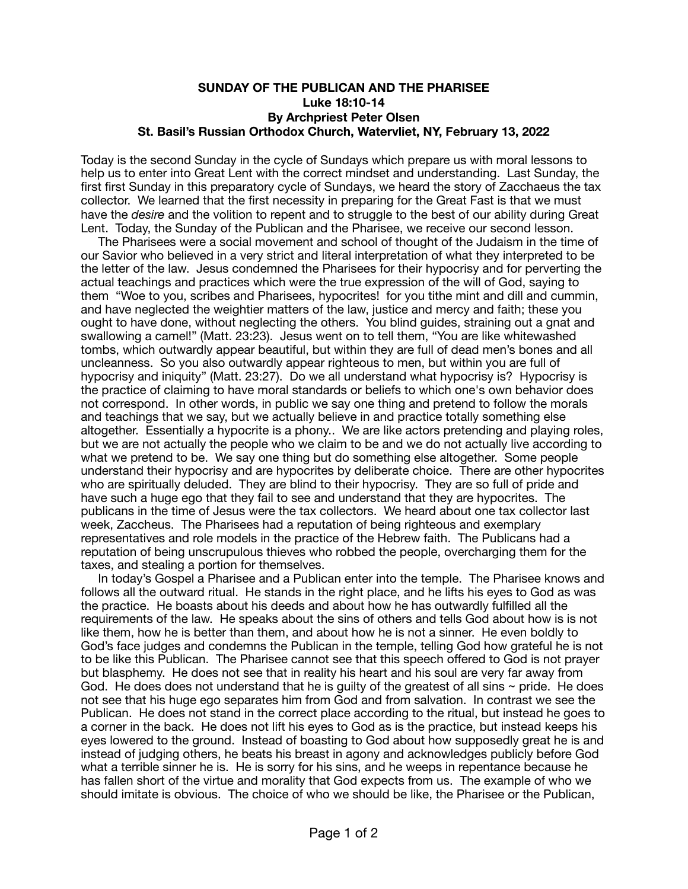## **SUNDAY OF THE PUBLICAN AND THE PHARISEE Luke 18:10-14 By Archpriest Peter Olsen St. Basil's Russian Orthodox Church, Watervliet, NY, February 13, 2022**

Today is the second Sunday in the cycle of Sundays which prepare us with moral lessons to help us to enter into Great Lent with the correct mindset and understanding. Last Sunday, the first first Sunday in this preparatory cycle of Sundays, we heard the story of Zacchaeus the tax collector. We learned that the first necessity in preparing for the Great Fast is that we must have the *desire* and the volition to repent and to struggle to the best of our ability during Great Lent. Today, the Sunday of the Publican and the Pharisee, we receive our second lesson.

 The Pharisees were a social movement and school of thought of the Judaism in the time of our Savior who believed in a very strict and literal interpretation of what they interpreted to be the letter of the law. Jesus condemned the Pharisees for their hypocrisy and for perverting the actual teachings and practices which were the true expression of the will of God, saying to them "Woe to you, scribes and Pharisees, hypocrites! for you tithe mint and dill and cummin, and have neglected the weightier matters of the law, justice and mercy and faith; these you ought to have done, without neglecting the others. You blind quides, straining out a gnat and swallowing a camel!" (Matt. 23:23). Jesus went on to tell them, "You are like whitewashed tombs, which outwardly appear beautiful, but within they are full of dead men's bones and all uncleanness. So you also outwardly appear righteous to men, but within you are full of hypocrisy and iniquity" (Matt. 23:27). Do we all understand what hypocrisy is? Hypocrisy is the practice of claiming to have moral standards or beliefs to which one's own behavior does not correspond. In other words, in public we say one thing and pretend to follow the morals and teachings that we say, but we actually believe in and practice totally something else altogether. Essentially a hypocrite is a phony.. We are like actors pretending and playing roles, but we are not actually the people who we claim to be and we do not actually live according to what we pretend to be. We say one thing but do something else altogether. Some people understand their hypocrisy and are hypocrites by deliberate choice. There are other hypocrites who are spiritually deluded. They are blind to their hypocrisy. They are so full of pride and have such a huge ego that they fail to see and understand that they are hypocrites. The publicans in the time of Jesus were the tax collectors. We heard about one tax collector last week, Zaccheus. The Pharisees had a reputation of being righteous and exemplary representatives and role models in the practice of the Hebrew faith. The Publicans had a reputation of being unscrupulous thieves who robbed the people, overcharging them for the taxes, and stealing a portion for themselves.

 In today's Gospel a Pharisee and a Publican enter into the temple. The Pharisee knows and follows all the outward ritual. He stands in the right place, and he lifts his eyes to God as was the practice. He boasts about his deeds and about how he has outwardly fulfilled all the requirements of the law. He speaks about the sins of others and tells God about how is is not like them, how he is better than them, and about how he is not a sinner. He even boldly to God's face judges and condemns the Publican in the temple, telling God how grateful he is not to be like this Publican. The Pharisee cannot see that this speech offered to God is not prayer but blasphemy. He does not see that in reality his heart and his soul are very far away from God. He does does not understand that he is quilty of the greatest of all sins  $\sim$  pride. He does not see that his huge ego separates him from God and from salvation. In contrast we see the Publican. He does not stand in the correct place according to the ritual, but instead he goes to a corner in the back. He does not lift his eyes to God as is the practice, but instead keeps his eyes lowered to the ground. Instead of boasting to God about how supposedly great he is and instead of judging others, he beats his breast in agony and acknowledges publicly before God what a terrible sinner he is. He is sorry for his sins, and he weeps in repentance because he has fallen short of the virtue and morality that God expects from us. The example of who we should imitate is obvious. The choice of who we should be like, the Pharisee or the Publican,